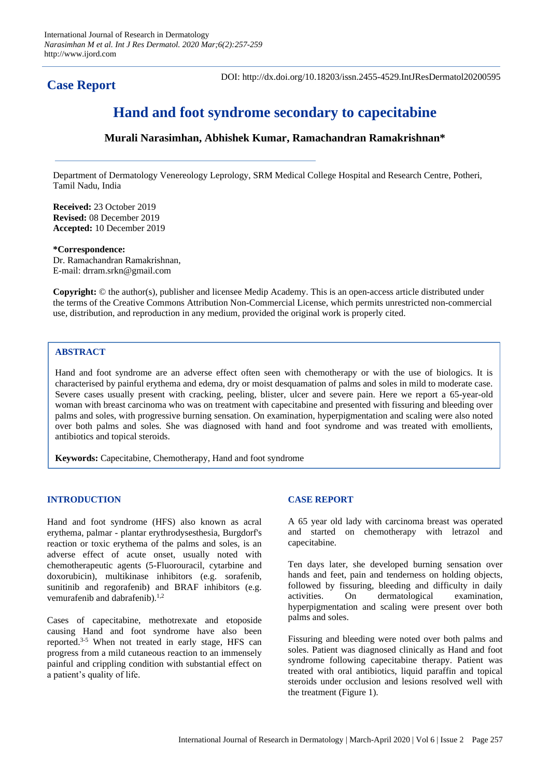# **Case Report**

DOI: http://dx.doi.org/10.18203/issn.2455-4529.IntJResDermatol20200595

# **Hand and foot syndrome secondary to capecitabine**

## **Murali Narasimhan, Abhishek Kumar, Ramachandran Ramakrishnan\***

Department of Dermatology Venereology Leprology, SRM Medical College Hospital and Research Centre, Potheri, Tamil Nadu, India

**Received:** 23 October 2019 **Revised:** 08 December 2019 **Accepted:** 10 December 2019

**\*Correspondence:**

Dr. Ramachandran Ramakrishnan, E-mail: drram.srkn@gmail.com

**Copyright:** © the author(s), publisher and licensee Medip Academy. This is an open-access article distributed under the terms of the Creative Commons Attribution Non-Commercial License, which permits unrestricted non-commercial use, distribution, and reproduction in any medium, provided the original work is properly cited.

### **ABSTRACT**

Hand and foot syndrome are an adverse effect often seen with chemotherapy or with the use of biologics. It is characterised by painful erythema and edema, dry or moist desquamation of palms and soles in mild to moderate case. Severe cases usually present with cracking, peeling, blister, ulcer and severe pain. Here we report a 65-year-old woman with breast carcinoma who was on treatment with capecitabine and presented with fissuring and bleeding over palms and soles, with progressive burning sensation. On examination, hyperpigmentation and scaling were also noted over both palms and soles. She was diagnosed with hand and foot syndrome and was treated with emollients, antibiotics and topical steroids.

**Keywords:** Capecitabine, Chemotherapy, Hand and foot syndrome

#### **INTRODUCTION**

Hand and foot syndrome (HFS) also known as acral erythema, palmar - plantar erythrodysesthesia, Burgdorf's reaction or toxic erythema of the palms and soles, is an adverse effect of acute onset, usually noted with chemotherapeutic agents (5-Fluorouracil, cytarbine and doxorubicin), multikinase inhibitors (e.g. sorafenib, sunitinib and regorafenib) and BRAF inhibitors (e.g. vemurafenib and dabrafenib).<sup>1,2</sup>

Cases of capecitabine, methotrexate and etoposide causing Hand and foot syndrome have also been reported.3-5 When not treated in early stage, HFS can progress from a mild cutaneous reaction to an immensely painful and crippling condition with substantial effect on a patient's quality of life.

#### **CASE REPORT**

A 65 year old lady with carcinoma breast was operated and started on chemotherapy with letrazol and capecitabine.

Ten days later, she developed burning sensation over hands and feet, pain and tenderness on holding objects, followed by fissuring, bleeding and difficulty in daily activities. On dermatological examination, hyperpigmentation and scaling were present over both palms and soles.

Fissuring and bleeding were noted over both palms and soles. Patient was diagnosed clinically as Hand and foot syndrome following capecitabine therapy. Patient was treated with oral antibiotics, liquid paraffin and topical steroids under occlusion and lesions resolved well with the treatment (Figure 1).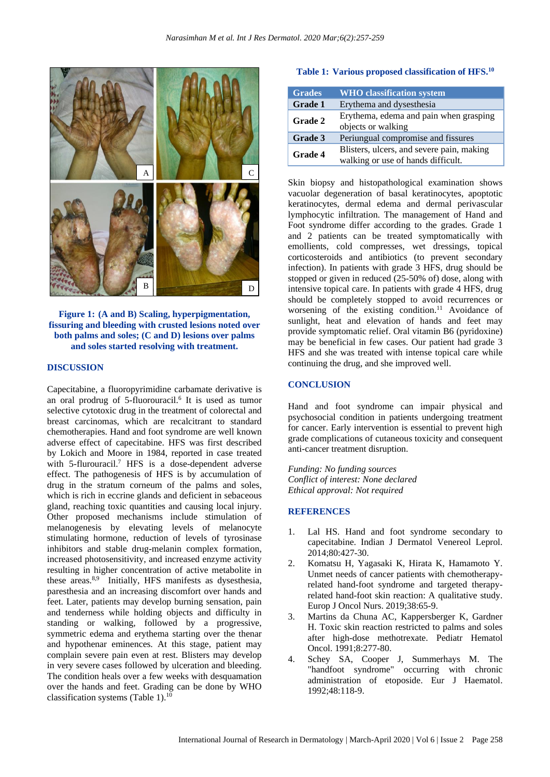

**Figure 1: (A and B) Scaling, hyperpigmentation, fissuring and bleeding with crusted lesions noted over both palms and soles; (C and D) lesions over palms and soles started resolving with treatment.** 

#### **DISCUSSION**

Capecitabine, a fluoropyrimidine carbamate derivative is an oral prodrug of 5-fluorouracil.<sup>6</sup> It is used as tumor selective cytotoxic drug in the treatment of colorectal and breast carcinomas, which are recalcitrant to standard chemotherapies. Hand and foot syndrome are well known adverse effect of capecitabine. HFS was first described by Lokich and Moore in 1984, reported in case treated with 5-flurouracil.<sup>7</sup> HFS is a dose-dependent adverse effect. The pathogenesis of HFS is by accumulation of drug in the stratum corneum of the palms and soles, which is rich in eccrine glands and deficient in sebaceous gland, reaching toxic quantities and causing local injury. Other proposed mechanisms include stimulation of melanogenesis by elevating levels of melanocyte stimulating hormone, reduction of levels of tyrosinase inhibitors and stable drug-melanin complex formation, increased photosensitivity, and increased enzyme activity resulting in higher concentration of active metabolite in these areas.<sup>8,9</sup> Initially, HFS manifests as dysesthesia, paresthesia and an increasing discomfort over hands and feet. Later, patients may develop burning sensation, pain and tenderness while holding objects and difficulty in standing or walking, followed by a progressive, symmetric edema and erythema starting over the thenar and hypothenar eminences. At this stage, patient may complain severe pain even at rest. Blisters may develop in very severe cases followed by ulceration and bleeding. The condition heals over a few weeks with desquamation over the hands and feet. Grading can be done by WHO classification systems (Table 1).<sup>10</sup>

#### **Table 1: Various proposed classification of HFS. 10**

| <b>Grades</b>  | <b>WHO</b> classification system                                                |
|----------------|---------------------------------------------------------------------------------|
| <b>Grade 1</b> | Erythema and dysesthesia                                                        |
| <b>Grade 2</b> | Erythema, edema and pain when grasping<br>objects or walking                    |
| Grade 3        | Periungual compromise and fissures                                              |
| <b>Grade 4</b> | Blisters, ulcers, and severe pain, making<br>walking or use of hands difficult. |

Skin biopsy and histopathological examination shows vacuolar degeneration of basal keratinocytes, apoptotic keratinocytes, dermal edema and dermal perivascular lymphocytic infiltration. The management of Hand and Foot syndrome differ according to the grades. Grade 1 and 2 patients can be treated symptomatically with emollients, cold compresses, wet dressings, topical corticosteroids and antibiotics (to prevent secondary infection). In patients with grade 3 HFS, drug should be stopped or given in reduced (25-50% of) dose, along with intensive topical care. In patients with grade 4 HFS, drug should be completely stopped to avoid recurrences or worsening of the existing condition.<sup>11</sup> Avoidance of sunlight, heat and elevation of hands and feet may provide symptomatic relief. Oral vitamin B6 (pyridoxine) may be beneficial in few cases. Our patient had grade 3 HFS and she was treated with intense topical care while continuing the drug, and she improved well.

#### **CONCLUSION**

Hand and foot syndrome can impair physical and psychosocial condition in patients undergoing treatment for cancer. Early intervention is essential to prevent high grade complications of cutaneous toxicity and consequent anti-cancer treatment disruption.

*Funding: No funding sources Conflict of interest: None declared Ethical approval: Not required*

#### **REFERENCES**

- 1. Lal HS. Hand and foot syndrome secondary to capecitabine. Indian J Dermatol Venereol Leprol. 2014;80:427-30.
- 2. Komatsu H, Yagasaki K, Hirata K, Hamamoto Y. Unmet needs of cancer patients with chemotherapyrelated hand-foot syndrome and targeted therapyrelated hand-foot skin reaction: A qualitative study. Europ J Oncol Nurs. 2019;38:65-9.
- 3. Martins da Chuna AC, Kappersberger K, Gardner H. Toxic skin reaction restricted to palms and soles after high-dose methotrexate. Pediatr Hematol Oncol. 1991;8:277-80.
- 4. Schey SA, Cooper J, Summerhays M. The "handfoot syndrome" occurring with chronic administration of etoposide. Eur J Haematol. 1992;48:118-9.